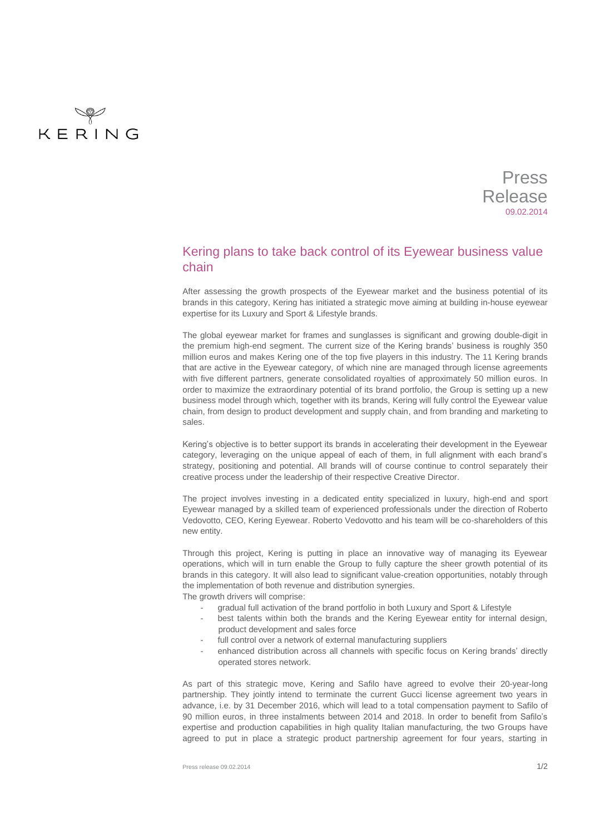

Press Release 09.02.2014

## Kering plans to take back control of its Eyewear business value chain

After assessing the growth prospects of the Eyewear market and the business potential of its brands in this category, Kering has initiated a strategic move aiming at building in-house eyewear expertise for its Luxury and Sport & Lifestyle brands.

The global eyewear market for frames and sunglasses is significant and growing double-digit in the premium high-end segment. The current size of the Kering brands' business is roughly 350 million euros and makes Kering one of the top five players in this industry. The 11 Kering brands that are active in the Eyewear category, of which nine are managed through license agreements with five different partners, generate consolidated royalties of approximately 50 million euros. In order to maximize the extraordinary potential of its brand portfolio, the Group is setting up a new business model through which, together with its brands, Kering will fully control the Eyewear value chain, from design to product development and supply chain, and from branding and marketing to sales.

Kering's objective is to better support its brands in accelerating their development in the Eyewear category, leveraging on the unique appeal of each of them, in full alignment with each brand's strategy, positioning and potential. All brands will of course continue to control separately their creative process under the leadership of their respective Creative Director.

The project involves investing in a dedicated entity specialized in luxury, high-end and sport Eyewear managed by a skilled team of experienced professionals under the direction of Roberto Vedovotto, CEO, Kering Eyewear. Roberto Vedovotto and his team will be co-shareholders of this new entity.

Through this project, Kering is putting in place an innovative way of managing its Eyewear operations, which will in turn enable the Group to fully capture the sheer growth potential of its brands in this category. It will also lead to significant value-creation opportunities, notably through the implementation of both revenue and distribution synergies. The growth drivers will comprise:

gradual full activation of the brand portfolio in both Luxury and Sport & Lifestyle

- best talents within both the brands and the Kering Eyewear entity for internal design, product development and sales force
- full control over a network of external manufacturing suppliers
- enhanced distribution across all channels with specific focus on Kering brands' directly operated stores network.

As part of this strategic move, Kering and Safilo have agreed to evolve their 20-year-long partnership. They jointly intend to terminate the current Gucci license agreement two years in advance, i.e. by 31 December 2016, which will lead to a total compensation payment to Safilo of 90 million euros, in three instalments between 2014 and 2018. In order to benefit from Safilo's expertise and production capabilities in high quality Italian manufacturing, the two Groups have agreed to put in place a strategic product partnership agreement for four years, starting in